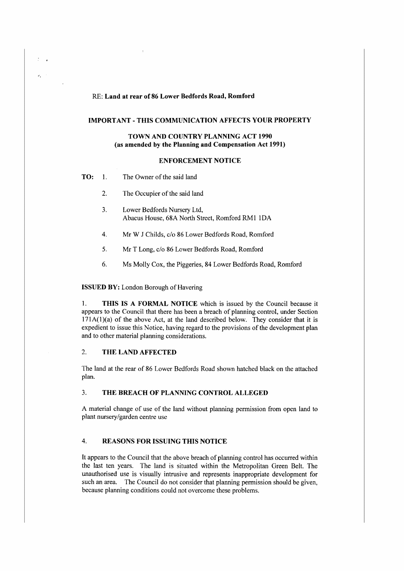# RE: Land at rear of 86 Lower Bedfords Road, Romford

### **IMPORTANT-THIS COMMUNICATION AFFECTS YOUR PROPERTY**

## **TOWN AND COUNTRY PLANNING ACT 1990 (as amended by the Planning and Compensation Act 1991)**

## **ENFORCEMENT NOTICE**

| TO: | The Owner of the said land |  |
|-----|----------------------------|--|
|     |                            |  |

 $\mathcal{A}_i$ 

- 2. The Occupier of the said land
- 3. Lower Bedfords Nursery Ltd, Abacus House, 68A North Street, Romford RMI IDA
- 4. Mr W J Childs, c/o 86 Lower Bedfords Road, Romford
- 5. Mr T Long, c/o 86 Lower Bedfords Road, Romford
- 6. Ms Molly Cox, the Piggeries, 84 Lower Bedfords Road, Romford

#### **ISSUED BY:** London Borough of Havering

1. **THIS IS A FORMAL NOTICE** which is issued by the Council because it appears to the Council that there has been a breach of planning control, under Section  $171A(1)(a)$  of the above Act, at the land described below. They consider that it is expedient to issue this Notice, having regard to the provisions of the development plan and to other material planning considerations.

## 2. **THE LAND AFFECTED**

The land at the rear of 86 Lower Bedfords Road shown hatched black on the attached plan.

# 3. **THE BREACH OF PLANNING CONTROL ALLEGED**

A material change of use of the land without planning permission from open land to plant nursery/garden centre use

## 4. **REASONS FOR ISSUING THIS NOTICE**

It appears to the Council that the above breach of planning control has occurred within the last ten years. The land is situated within the Metropolitan Green Belt. The unauthorised use is visually intrusive and represents inappropriate development for such an area. The Council do not consider that planning permission should be given, because planning conditions could not overcome these problems.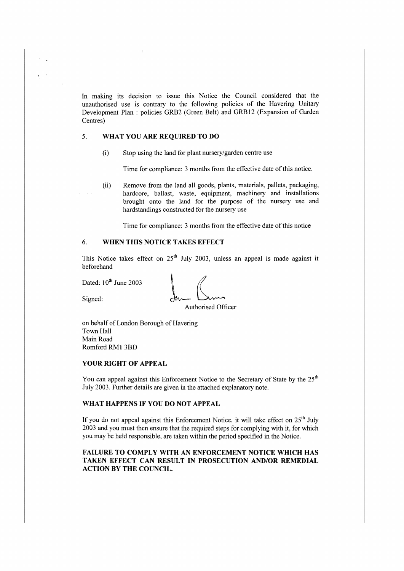In making its decision to issue this Notice the Council considered that the unauthorised usc is contrary to the following policies of the Havering Unitary Development Plan: policies GRB2 (Green Belt) and GRB12 (Expansion of Garden Centres)

## 5. **WHAT YOU ARE REQUIRED TO DO**

(i) Stop using the land for plant nursery/garden centre use

Time for compliance: 3 months from the effective date of this notice.

(ii) Remove from the land all goods, plants, materials, pallets, packaging, hardcore, ballast, waste, equipment, machinery and installations brought onto the land for the purpose of the nursery use and hardstandings constructed for the nursery use

Time for compliance: 3 months from the effective date of this notice

# 6. **WHEN THIS NOTICE TAKES EFFECT**

This Notice takes effect on 25<sup>th</sup> July 2003, unless an appeal is made against it beforehand

Dated: 10<sup>th</sup> June 2003

beforenand<br>Dated: 10<sup>th</sup> June 2003<br>Signed: Authorised Of:

Authorised Officer

on behalf of London Borough of Havering Town Hall Main Road Romford RM1 3BD

#### **YOUR RIGHT OF APPEAL**

You can appeal against this Enforcement Notice to the Secretary of State by the 25<sup>th</sup> July 2003. Further details are given in the attached explanatory note.

### **WHAT HAPPENS** IF **YOU DO NOT APPEAL**

If you do not appeal against this Enforcement Notice, it will take effect on  $25<sup>th</sup>$  July 2003 and you must then ensure that the required steps for complying with it, for which you may be held responsible, are taken within the period specified in the Notice.

## **FAILURE TO COMPLY WITH AN ENFORCEMENT NOTICE WHICH HAS TAKEN EFFECT CAN RESULT IN PROSECUTION AND/OR REMEDIAL ACTION BY THE COUNCIL.**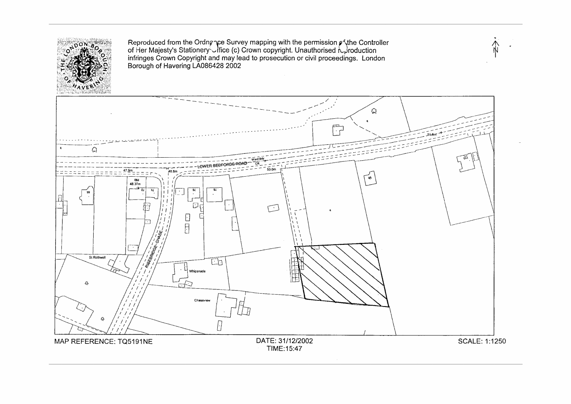

Reproduced from the Ordn $\varphi$  pce Survey mapping with the permission  $\varphi$  {the Controller of Her Majesty's Stationerr.\_\_,ffice (c) Crown copyright. Unauthorised /\)roduction infringes Crown Copyright and may lead to prosecution or civil proceedings. London Borough of Havering LA086428 2002